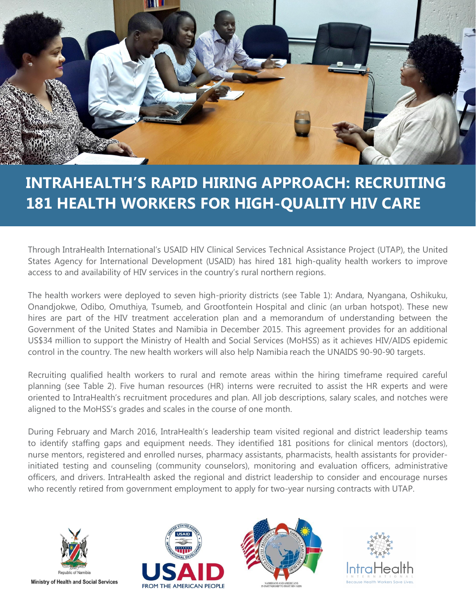

# **INTRAHEALTH'S RAPID HIRING APPROACH: RECRUITING 181 HEALTH WORKERS FOR HIGH-QUALITY HIV CARE**

Through IntraHealth International's USAID HIV Clinical Services Technical Assistance Project (UTAP), the United States Agency for International Development (USAID) has hired 181 high-quality health workers to improve access to and availability of HIV services in the country's rural northern regions.

The health workers were deployed to seven high-priority districts (see Table 1): Andara, Nyangana, Oshikuku, Onandjokwe, Odibo, Omuthiya, Tsumeb, and Grootfontein Hospital and clinic (an urban hotspot). These new hires are part of the HIV treatment acceleration plan and a memorandum of understanding between the Government of the United States and Namibia in December 2015. This agreement provides for an additional US\$34 million to support the Ministry of Health and Social Services (MoHSS) as it achieves HIV/AIDS epidemic control in the country. The new health workers will also help Namibia reach the UNAIDS 90-90-90 targets.

Recruiting qualified health workers to rural and remote areas within the hiring timeframe required careful planning (see Table 2). Five human resources (HR) interns were recruited to assist the HR experts and were oriented to IntraHealth's recruitment procedures and plan. All job descriptions, salary scales, and notches were aligned to the MoHSS's grades and scales in the course of one month.

During February and March 2016, IntraHealth's leadership team visited regional and district leadership teams to identify staffing gaps and equipment needs. They identified 181 positions for clinical mentors (doctors), nurse mentors, registered and enrolled nurses, pharmacy assistants, pharmacists, health assistants for providerinitiated testing and counseling (community counselors), monitoring and evaluation officers, administrative officers, and drivers. IntraHealth asked the regional and district leadership to consider and encourage nurses who recently retired from government employment to apply for two-year nursing contracts with UTAP.



**Ministry of Health and Social Services** 





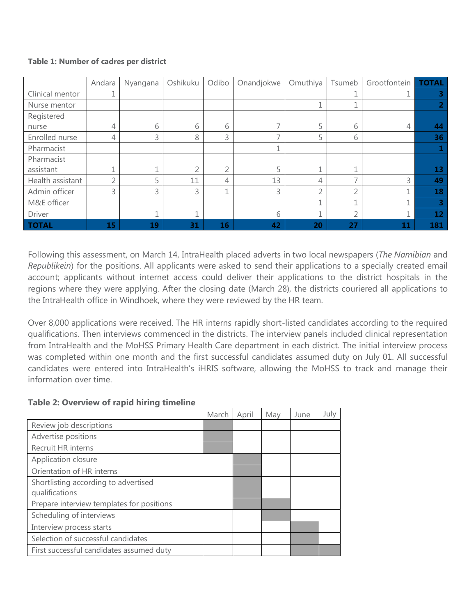### **Table 1: Number of cadres per district**

|                  | Andara    | Nyangana | Oshikuku | Odibo | Onandjokwe | Omuthiya       | Tsumeb                   | Grootfontein | <b>TOTAL</b> |
|------------------|-----------|----------|----------|-------|------------|----------------|--------------------------|--------------|--------------|
| Clinical mentor  |           |          |          |       |            |                |                          |              |              |
| Nurse mentor     |           |          |          |       |            |                |                          |              | 2            |
| Registered       |           |          |          |       |            |                |                          |              |              |
| nurse            | 4         | 6        | 6        | 6     |            | 5              | 6                        | 4            | 44           |
| Enrolled nurse   | 4         | 3        | 8        | 3     |            | 5              | 6                        |              | 36           |
| Pharmacist       |           |          |          |       |            |                |                          |              |              |
| Pharmacist       |           |          |          |       |            |                |                          |              |              |
| assistant        |           |          | ∍        |       |            | и              |                          |              | 13           |
| Health assistant | $\bigcap$ |          | 11       | 4     | 13         | $\overline{4}$ | $\overline{\phantom{0}}$ | 3            | 49           |
| Admin officer    | 3         | 3        | 3        |       | 3          | 2              | C                        |              | 18           |
| M&E officer      |           |          |          |       |            | 1              |                          |              | 3            |
| Driver           |           |          | и        |       | 6          | ₹              | $\overline{2}$           |              | 12           |
| <b>TOTAL</b>     | 15        | 19       | 31       | 16    | 42         | 20             | 27                       | 11           | 181          |

Following this assessment, on March 14, IntraHealth placed adverts in two local newspapers (*The Namibian* and *Republikein*) for the positions. All applicants were asked to send their applications to a specially created email account; applicants without internet access could deliver their applications to the district hospitals in the regions where they were applying. After the closing date (March 28), the districts couriered all applications to the IntraHealth office in Windhoek, where they were reviewed by the HR team.

Over 8,000 applications were received. The HR interns rapidly short-listed candidates according to the required qualifications. Then interviews commenced in the districts. The interview panels included clinical representation from IntraHealth and the MoHSS Primary Health Care department in each district. The initial interview process was completed within one month and the first successful candidates assumed duty on July 01. All successful candidates were entered into IntraHealth's iHRIS software, allowing the MoHSS to track and manage their information over time.

### **Table 2: Overview of rapid hiring timeline**

|                                           | March | April | May | June | July |
|-------------------------------------------|-------|-------|-----|------|------|
| Review job descriptions                   |       |       |     |      |      |
| Advertise positions                       |       |       |     |      |      |
| Recruit HR interns                        |       |       |     |      |      |
| Application closure                       |       |       |     |      |      |
| Orientation of HR interns                 |       |       |     |      |      |
| Shortlisting according to advertised      |       |       |     |      |      |
| qualifications                            |       |       |     |      |      |
| Prepare interview templates for positions |       |       |     |      |      |
| Scheduling of interviews                  |       |       |     |      |      |
| Interview process starts                  |       |       |     |      |      |
| Selection of successful candidates        |       |       |     |      |      |
| First successful candidates assumed duty  |       |       |     |      |      |